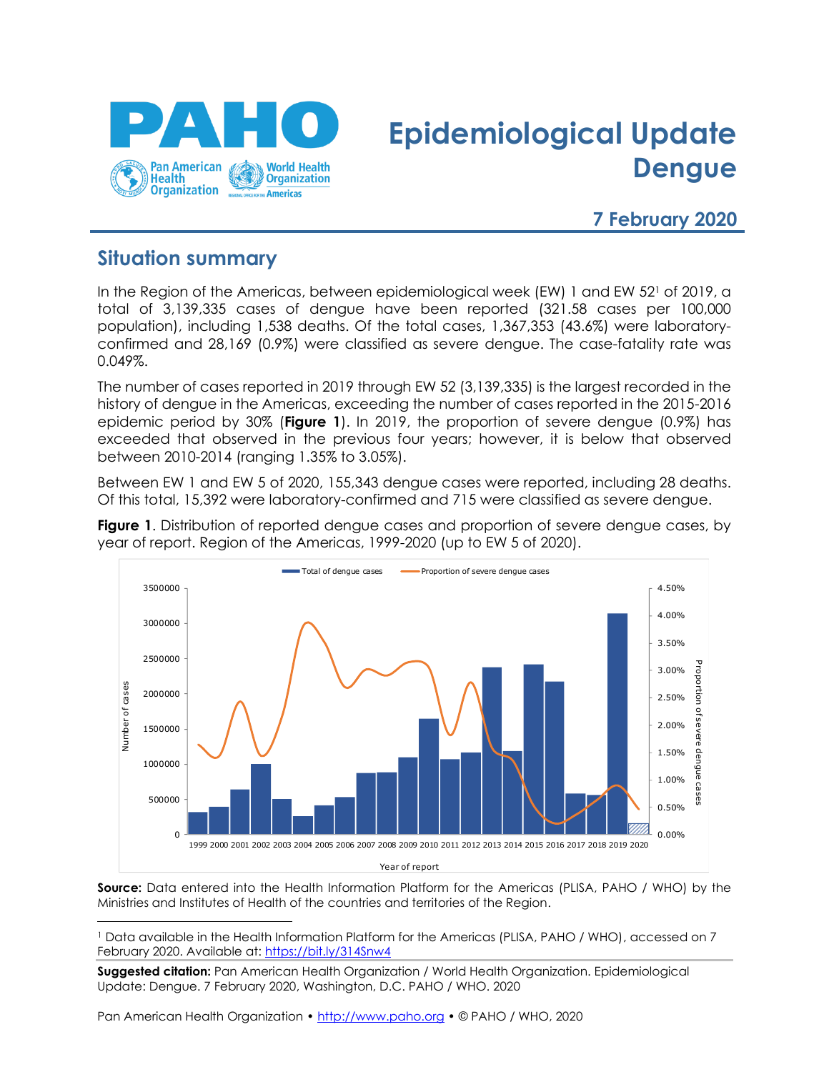

# **Epidemiological Update Dengue**

## **7 February 2020**

### **Situation summary**

In the Region of the Americas, between epidemiological week (EW) 1 and EW 52<sup>1</sup> of 2019, a total of 3,139,335 cases of dengue have been reported (321.58 cases per 100,000 population), including 1,538 deaths. Of the total cases, 1,367,353 (43.6%) were laboratoryconfirmed and 28,169 (0.9%) were classified as severe dengue. The case-fatality rate was 0.049%.

The number of cases reported in 2019 through EW 52 (3,139,335) is the largest recorded in the history of dengue in the Americas, exceeding the number of cases reported in the 2015-2016 epidemic period by 30% (**Figure 1**). In 2019, the proportion of severe dengue (0.9%) has exceeded that observed in the previous four years; however, it is below that observed between 2010-2014 (ranging 1.35% to 3.05%).

Between EW 1 and EW 5 of 2020, 155,343 dengue cases were reported, including 28 deaths. Of this total, 15,392 were laboratory-confirmed and 715 were classified as severe dengue.

**Figure 1**. Distribution of reported dengue cases and proportion of severe dengue cases, by year of report. Region of the Americas, 1999-2020 (up to EW 5 of 2020).



**Source:** Data entered into the Health Information Platform for the Americas (PLISA, PAHO / WHO) by the Ministries and Institutes of Health of the countries and territories of the Region.

<sup>1</sup> Data available in the Health Information Platform for the Americas (PLISA, PAHO / WHO), accessed on 7 February 2020. Available at[: https://bit.ly/314Snw4](https://bit.ly/314Snw4)

**Suggested citation:** Pan American Health Organization / World Health Organization. Epidemiological Update: Dengue. 7 February 2020, Washington, D.C. PAHO / WHO. 2020

Pan American Health Organization • [http://www.paho.org](http://www.paho.org/) • © PAHO / WHO, 2020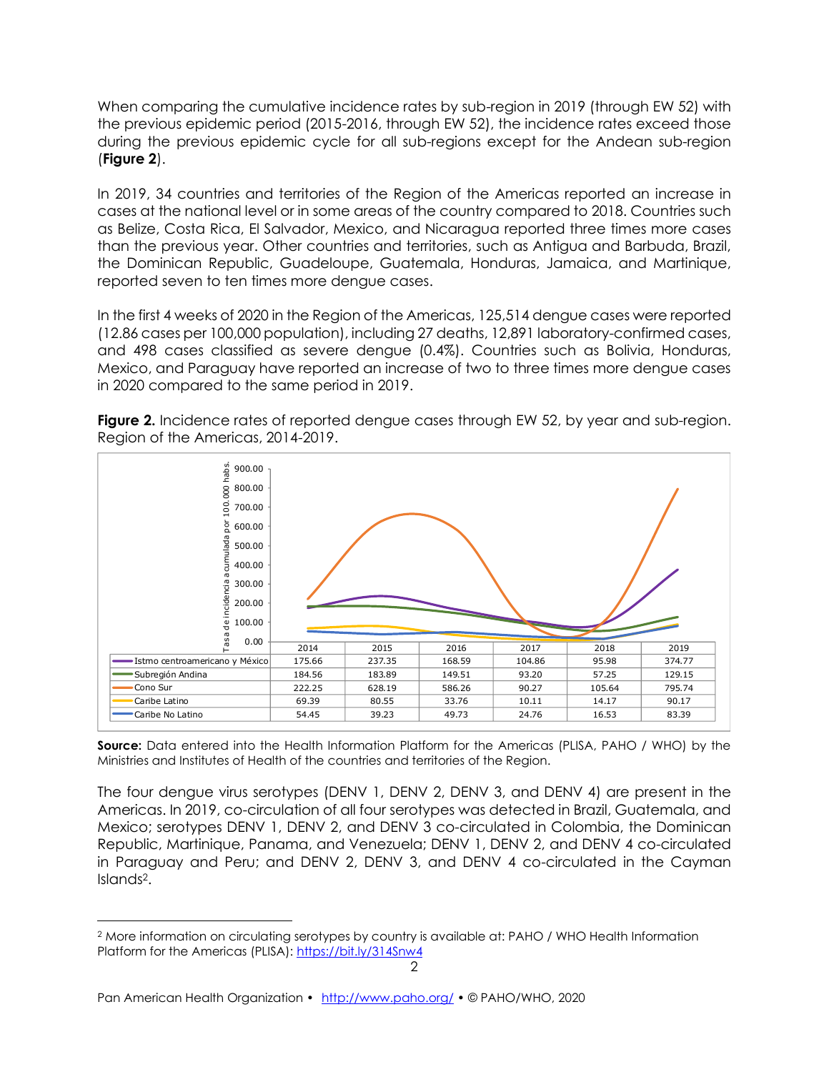When comparing the cumulative incidence rates by sub-region in 2019 (through EW 52) with the previous epidemic period (2015-2016, through EW 52), the incidence rates exceed those during the previous epidemic cycle for all sub-regions except for the Andean sub-region (**Figure 2**).

In 2019, 34 countries and territories of the Region of the Americas reported an increase in cases at the national level or in some areas of the country compared to 2018. Countries such as Belize, Costa Rica, El Salvador, Mexico, and Nicaragua reported three times more cases than the previous year. Other countries and territories, such as Antigua and Barbuda, Brazil, the Dominican Republic, Guadeloupe, Guatemala, Honduras, Jamaica, and Martinique, reported seven to ten times more dengue cases.

In the first 4 weeks of 2020 in the Region of the Americas, 125,514 dengue cases were reported (12.86 cases per 100,000 population), including 27 deaths, 12,891 laboratory-confirmed cases, and 498 cases classified as severe dengue (0.4%). Countries such as Bolivia, Honduras, Mexico, and Paraguay have reported an increase of two to three times more dengue cases in 2020 compared to the same period in 2019.



**Figure 2.** Incidence rates of reported dengue cases through EW 52, by year and sub-region. Region of the Americas, 2014-2019.

**Source:** Data entered into the Health Information Platform for the Americas (PLISA, PAHO / WHO) by the Ministries and Institutes of Health of the countries and territories of the Region.

The four dengue virus serotypes (DENV 1, DENV 2, DENV 3, and DENV 4) are present in the Americas. In 2019, co-circulation of all four serotypes was detected in Brazil, Guatemala, and Mexico; serotypes DENV 1, DENV 2, and DENV 3 co-circulated in Colombia, the Dominican Republic, Martinique, Panama, and Venezuela; DENV 1, DENV 2, and DENV 4 co-circulated in Paraguay and Peru; and DENV 2, DENV 3, and DENV 4 co-circulated in the Cayman Islands2.

<sup>2</sup> More information on circulating serotypes by country is available at: PAHO / WHO Health Information Platform for the Americas (PLISA):<https://bit.ly/314Snw4>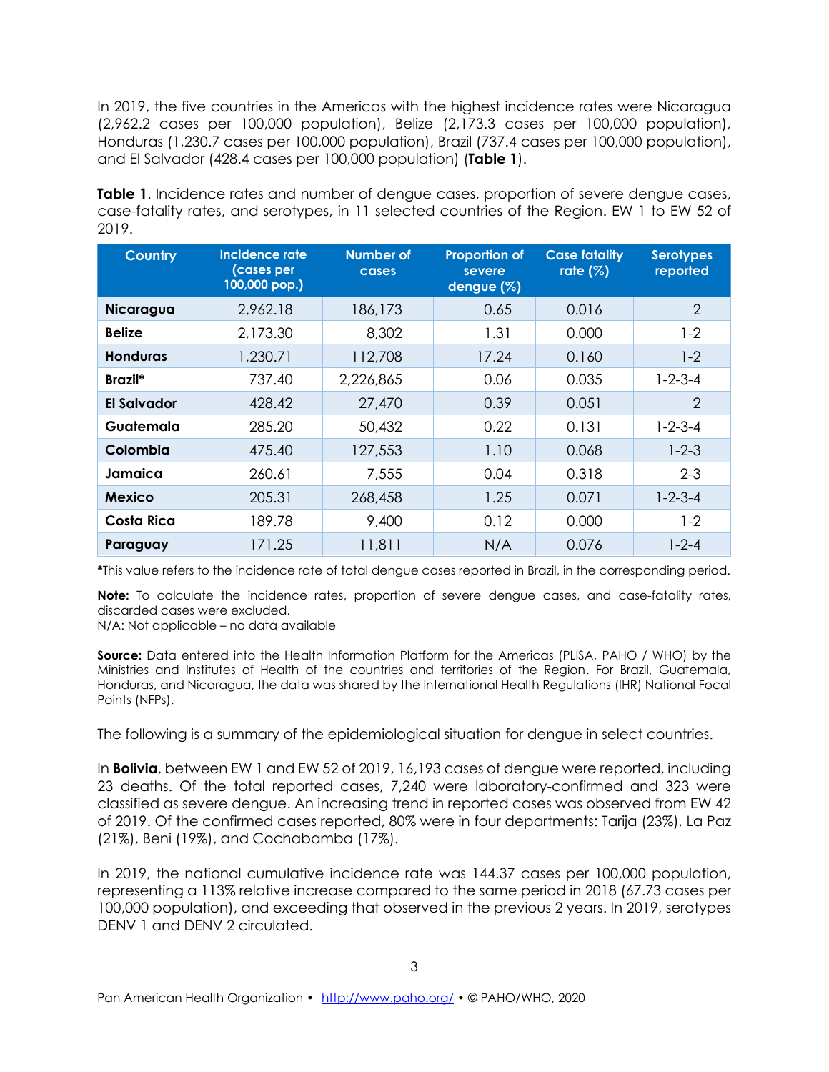In 2019, the five countries in the Americas with the highest incidence rates were Nicaragua (2,962.2 cases per 100,000 population), Belize (2,173.3 cases per 100,000 population), Honduras (1,230.7 cases per 100,000 population), Brazil (737.4 cases per 100,000 population), and El Salvador (428.4 cases per 100,000 population) (**Table 1**).

**Table 1**. Incidence rates and number of dengue cases, proportion of severe dengue cases, case-fatality rates, and serotypes, in 11 selected countries of the Region. EW 1 to EW 52 of 2019.

| <b>Country</b>  | Incidence rate<br>(cases per<br>100,000 pop.) | <b>Number of</b><br>cases | <b>Proportion of</b><br>severe<br>dengue $(\%)$ | <b>Case fatality</b><br>rate $(%)$ | <b>Serotypes</b><br>reported |
|-----------------|-----------------------------------------------|---------------------------|-------------------------------------------------|------------------------------------|------------------------------|
| Nicaragua       | 2,962.18                                      | 186,173                   | 0.65                                            | 0.016                              | 2                            |
| <b>Belize</b>   | 2,173.30                                      | 8,302                     | 1.31                                            | 0.000                              | $1 - 2$                      |
| <b>Honduras</b> | 1,230.71                                      | 112,708                   | 17.24                                           | 0.160                              | $1 - 2$                      |
| Brazil*         | 737.40                                        | 2,226,865                 | 0.06                                            | 0.035                              | $1 - 2 - 3 - 4$              |
| El Salvador     | 428.42                                        | 27,470                    | 0.39                                            | 0.051                              | $\overline{2}$               |
| Guatemala       | 285.20                                        | 50,432                    | 0.22                                            | 0.131                              | $1 - 2 - 3 - 4$              |
| Colombia        | 475.40                                        | 127,553                   | 1.10                                            | 0.068                              | $1 - 2 - 3$                  |
| Jamaica         | 260.61                                        | 7,555                     | 0.04                                            | 0.318                              | $2 - 3$                      |
| Mexico          | 205.31                                        | 268,458                   | 1.25                                            | 0.071                              | $1 - 2 - 3 - 4$              |
| Costa Rica      | 189.78                                        | 9,400                     | 0.12                                            | 0.000                              | $1-2$                        |
| Paraguay        | 171.25                                        | 11,811                    | N/A                                             | 0.076                              | $1 - 2 - 4$                  |

**\***This value refers to the incidence rate of total dengue cases reported in Brazil, in the corresponding period.

**Note:** To calculate the incidence rates, proportion of severe dengue cases, and case-fatality rates, discarded cases were excluded.

N/A: Not applicable – no data available

**Source:** Data entered into the Health Information Platform for the Americas (PLISA, PAHO / WHO) by the Ministries and Institutes of Health of the countries and territories of the Region. For Brazil, Guatemala, Honduras, and Nicaragua, the data was shared by the International Health Regulations (IHR) National Focal Points (NFPs).

The following is a summary of the epidemiological situation for dengue in select countries.

In **Bolivia**, between EW 1 and EW 52 of 2019, 16,193 cases of dengue were reported, including 23 deaths. Of the total reported cases, 7,240 were laboratory-confirmed and 323 were classified as severe dengue. An increasing trend in reported cases was observed from EW 42 of 2019. Of the confirmed cases reported, 80% were in four departments: Tarija (23%), La Paz (21%), Beni (19%), and Cochabamba (17%).

In 2019, the national cumulative incidence rate was 144.37 cases per 100,000 population, representing a 113% relative increase compared to the same period in 2018 (67.73 cases per 100,000 population), and exceeding that observed in the previous 2 years. In 2019, serotypes DENV 1 and DENV 2 circulated.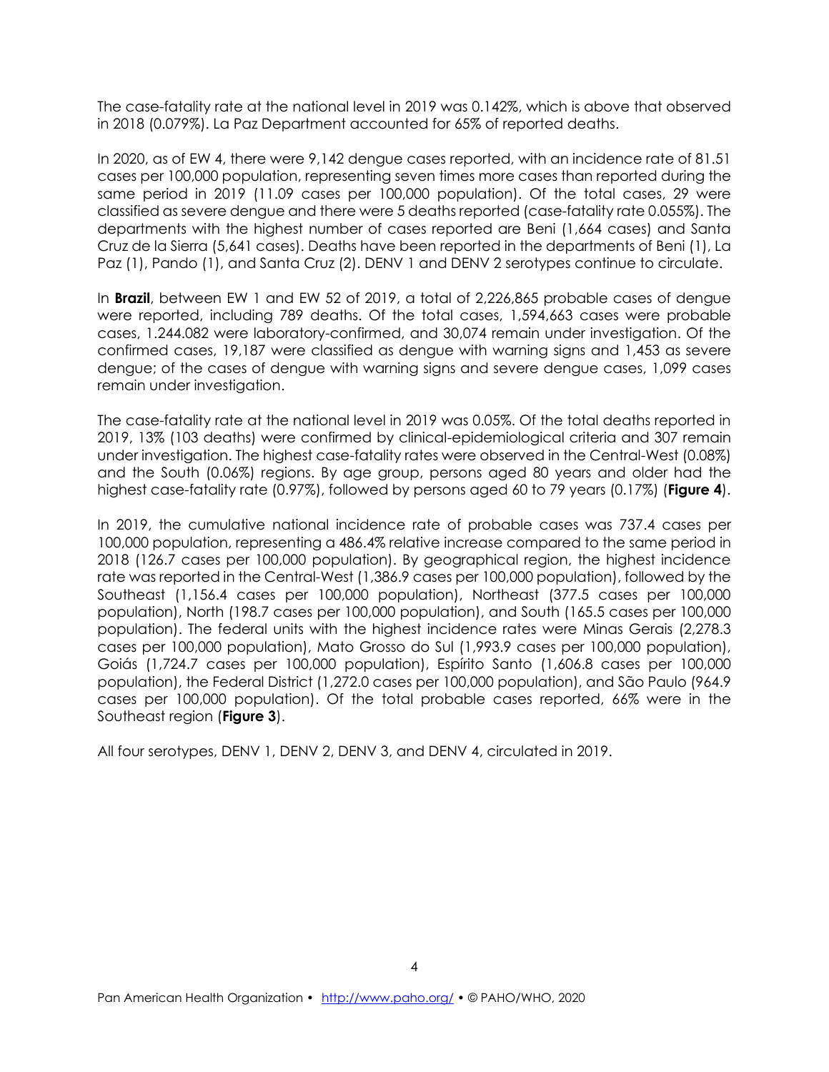The case-fatality rate at the national level in 2019 was 0.142%, which is above that observed in 2018 (0.079%). La Paz Department accounted for 65% of reported deaths.

In 2020, as of EW 4, there were 9,142 dengue cases reported, with an incidence rate of 81.51 cases per 100,000 population, representing seven times more cases than reported during the same period in 2019 (11.09 cases per 100,000 population). Of the total cases, 29 were classified as severe dengue and there were 5 deaths reported (case-fatality rate 0.055%). The departments with the highest number of cases reported are Beni (1,664 cases) and Santa Cruz de la Sierra (5,641 cases). Deaths have been reported in the departments of Beni (1), La Paz (1), Pando (1), and Santa Cruz (2). DENV 1 and DENV 2 serotypes continue to circulate.

In **Brazil**, between EW 1 and EW 52 of 2019, a total of 2,226,865 probable cases of dengue were reported, including 789 deaths. Of the total cases, 1,594,663 cases were probable cases, 1.244.082 were laboratory-confirmed, and 30,074 remain under investigation. Of the confirmed cases, 19,187 were classified as dengue with warning signs and 1,453 as severe dengue; of the cases of dengue with warning signs and severe dengue cases, 1,099 cases remain under investigation.

The case-fatality rate at the national level in 2019 was 0.05%. Of the total deaths reported in 2019, 13% (103 deaths) were confirmed by clinical-epidemiological criteria and 307 remain under investigation. The highest case-fatality rates were observed in the Central-West (0.08%) and the South (0.06%) regions. By age group, persons aged 80 years and older had the highest case-fatality rate (0.97%), followed by persons aged 60 to 79 years (0.17%) (**Figure 4**).

In 2019, the cumulative national incidence rate of probable cases was 737.4 cases per 100,000 population, representing a 486.4% relative increase compared to the same period in 2018 (126.7 cases per 100,000 population). By geographical region, the highest incidence rate was reported in the Central-West (1,386.9 cases per 100,000 population), followed by the Southeast (1,156.4 cases per 100,000 population), Northeast (377.5 cases per 100,000 population), North (198.7 cases per 100,000 population), and South (165.5 cases per 100,000 population). The federal units with the highest incidence rates were Minas Gerais (2,278.3 cases per 100,000 population), Mato Grosso do Sul (1,993.9 cases per 100,000 population), Goiás (1,724.7 cases per 100,000 population), Espírito Santo (1,606.8 cases per 100,000 population), the Federal District (1,272.0 cases per 100,000 population), and São Paulo (964.9 cases per 100,000 population). Of the total probable cases reported, 66% were in the Southeast region (**Figure 3**).

All four serotypes, DENV 1, DENV 2, DENV 3, and DENV 4, circulated in 2019.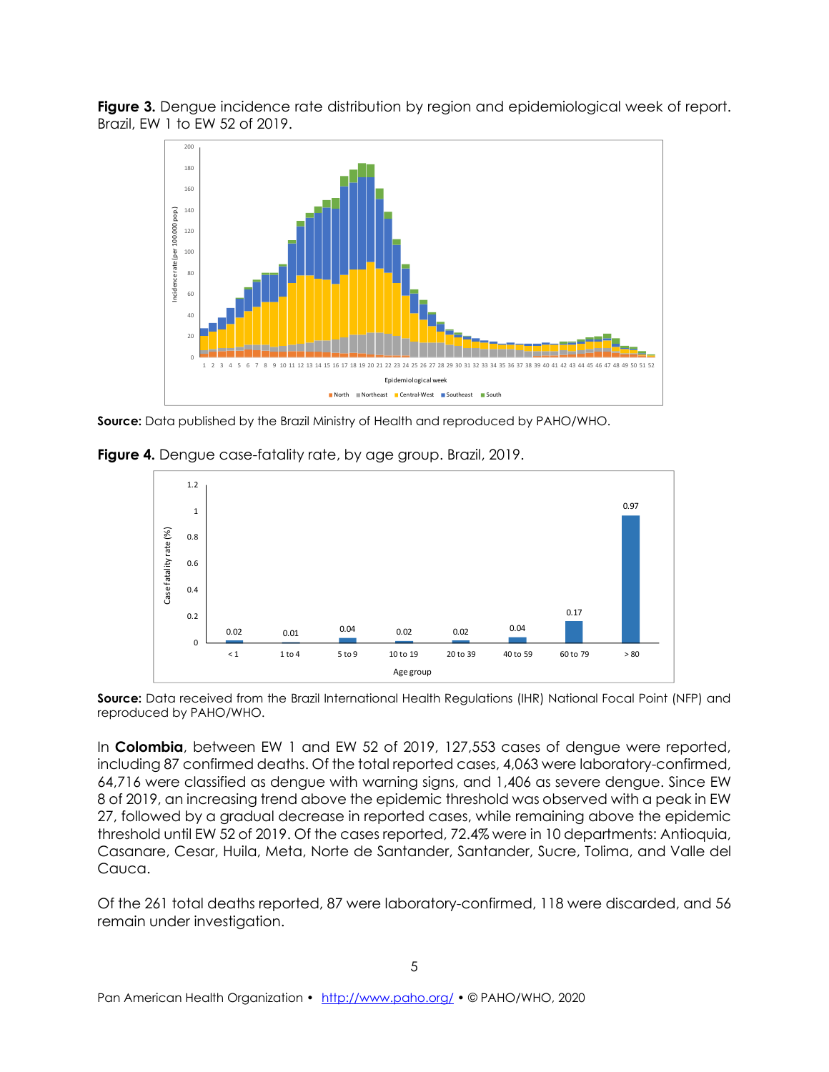**Figure 3.** Dengue incidence rate distribution by region and epidemiological week of report. Brazil, EW 1 to EW 52 of 2019.



**Source:** Data published by the Brazil Ministry of Health and reproduced by PAHO/WHO.



**Figure 4.** Dengue case-fatality rate, by age group. Brazil, 2019.

**Source:** Data received from the Brazil International Health Regulations (IHR) National Focal Point (NFP) and reproduced by PAHO/WHO.

In **Colombia**, between EW 1 and EW 52 of 2019, 127,553 cases of dengue were reported, including 87 confirmed deaths. Of the total reported cases, 4,063 were laboratory-confirmed, 64,716 were classified as dengue with warning signs, and 1,406 as severe dengue. Since EW 8 of 2019, an increasing trend above the epidemic threshold was observed with a peak in EW 27, followed by a gradual decrease in reported cases, while remaining above the epidemic threshold until EW 52 of 2019. Of the cases reported, 72.4% were in 10 departments: Antioquia, Casanare, Cesar, Huila, Meta, Norte de Santander, Santander, Sucre, Tolima, and Valle del Cauca.

Of the 261 total deaths reported, 87 were laboratory-confirmed, 118 were discarded, and 56 remain under investigation.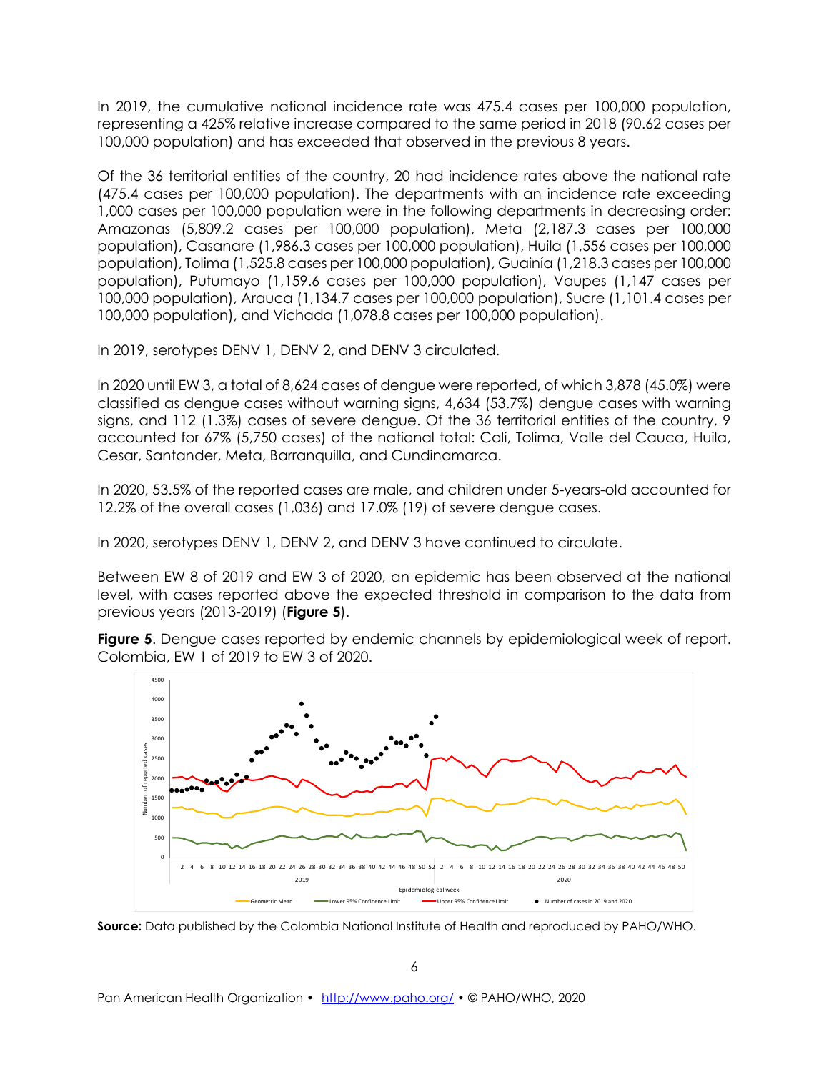In 2019, the cumulative national incidence rate was 475.4 cases per 100,000 population, representing a 425% relative increase compared to the same period in 2018 (90.62 cases per 100,000 population) and has exceeded that observed in the previous 8 years.

Of the 36 territorial entities of the country, 20 had incidence rates above the national rate (475.4 cases per 100,000 population). The departments with an incidence rate exceeding 1,000 cases per 100,000 population were in the following departments in decreasing order: Amazonas (5,809.2 cases per 100,000 population), Meta (2,187.3 cases per 100,000 population), Casanare (1,986.3 cases per 100,000 population), Huila (1,556 cases per 100,000 population), Tolima (1,525.8 cases per 100,000 population), Guainía (1,218.3 cases per 100,000 population), Putumayo (1,159.6 cases per 100,000 population), Vaupes (1,147 cases per 100,000 population), Arauca (1,134.7 cases per 100,000 population), Sucre (1,101.4 cases per 100,000 population), and Vichada (1,078.8 cases per 100,000 population).

In 2019, serotypes DENV 1, DENV 2, and DENV 3 circulated.

In 2020 until EW 3, a total of 8,624 cases of dengue were reported, of which 3,878 (45.0%) were classified as dengue cases without warning signs, 4,634 (53.7%) dengue cases with warning signs, and 112 (1.3%) cases of severe dengue. Of the 36 territorial entities of the country, 9 accounted for 67% (5,750 cases) of the national total: Cali, Tolima, Valle del Cauca, Huila, Cesar, Santander, Meta, Barranquilla, and Cundinamarca.

In 2020, 53.5% of the reported cases are male, and children under 5-years-old accounted for 12.2% of the overall cases (1,036) and 17.0% (19) of severe dengue cases.

In 2020, serotypes DENV 1, DENV 2, and DENV 3 have continued to circulate.

Between EW 8 of 2019 and EW 3 of 2020, an epidemic has been observed at the national level, with cases reported above the expected threshold in comparison to the data from previous years (2013-2019) (**Figure 5**).

**Figure 5**. Dengue cases reported by endemic channels by epidemiological week of report. Colombia, EW 1 of 2019 to EW 3 of 2020.



**Source:** Data published by the Colombia National Institute of Health and reproduced by PAHO/WHO.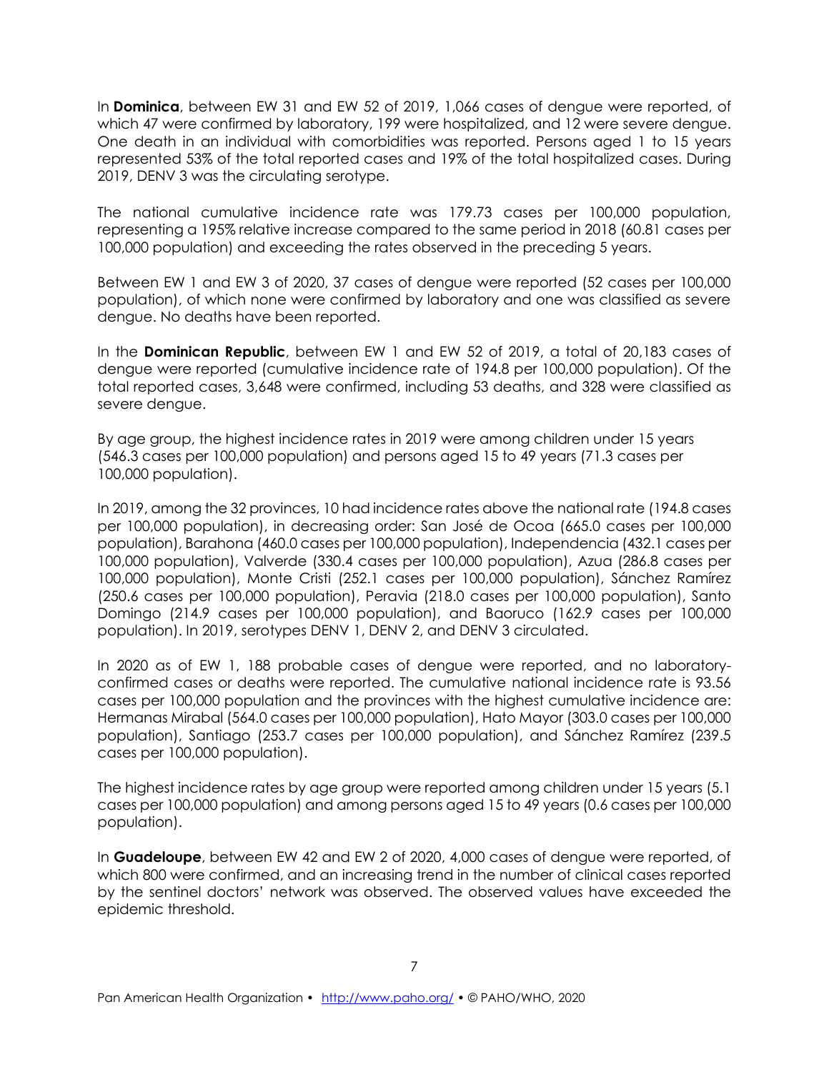In **Dominica**, between EW 31 and EW 52 of 2019, 1,066 cases of dengue were reported, of which 47 were confirmed by laboratory, 199 were hospitalized, and 12 were severe dengue. One death in an individual with comorbidities was reported. Persons aged 1 to 15 years represented 53% of the total reported cases and 19% of the total hospitalized cases. During 2019, DENV 3 was the circulating serotype.

The national cumulative incidence rate was 179.73 cases per 100,000 population, representing a 195% relative increase compared to the same period in 2018 (60.81 cases per 100,000 population) and exceeding the rates observed in the preceding 5 years.

Between EW 1 and EW 3 of 2020, 37 cases of dengue were reported (52 cases per 100,000 population), of which none were confirmed by laboratory and one was classified as severe dengue. No deaths have been reported.

In the **Dominican Republic**, between EW 1 and EW 52 of 2019, a total of 20,183 cases of dengue were reported (cumulative incidence rate of 194.8 per 100,000 population). Of the total reported cases, 3,648 were confirmed, including 53 deaths, and 328 were classified as severe dengue.

By age group, the highest incidence rates in 2019 were among children under 15 years (546.3 cases per 100,000 population) and persons aged 15 to 49 years (71.3 cases per 100,000 population).

In 2019, among the 32 provinces, 10 had incidence rates above the national rate (194.8 cases per 100,000 population), in decreasing order: San José de Ocoa (665.0 cases per 100,000 population), Barahona (460.0 cases per 100,000 population), Independencia (432.1 cases per 100,000 population), Valverde (330.4 cases per 100,000 population), Azua (286.8 cases per 100,000 population), Monte Cristi (252.1 cases per 100,000 population), Sánchez Ramírez (250.6 cases per 100,000 population), Peravia (218.0 cases per 100,000 population), Santo Domingo (214.9 cases per 100,000 population), and Baoruco (162.9 cases per 100,000 population). In 2019, serotypes DENV 1, DENV 2, and DENV 3 circulated.

In 2020 as of EW 1, 188 probable cases of dengue were reported, and no laboratoryconfirmed cases or deaths were reported. The cumulative national incidence rate is 93.56 cases per 100,000 population and the provinces with the highest cumulative incidence are: Hermanas Mirabal (564.0 cases per 100,000 population), Hato Mayor (303.0 cases per 100,000 population), Santiago (253.7 cases per 100,000 population), and Sánchez Ramírez (239.5 cases per 100,000 population).

The highest incidence rates by age group were reported among children under 15 years (5.1 cases per 100,000 population) and among persons aged 15 to 49 years (0.6 cases per 100,000 population).

In **Guadeloupe**, between EW 42 and EW 2 of 2020, 4,000 cases of dengue were reported, of which 800 were confirmed, and an increasing trend in the number of clinical cases reported by the sentinel doctors' network was observed. The observed values have exceeded the epidemic threshold.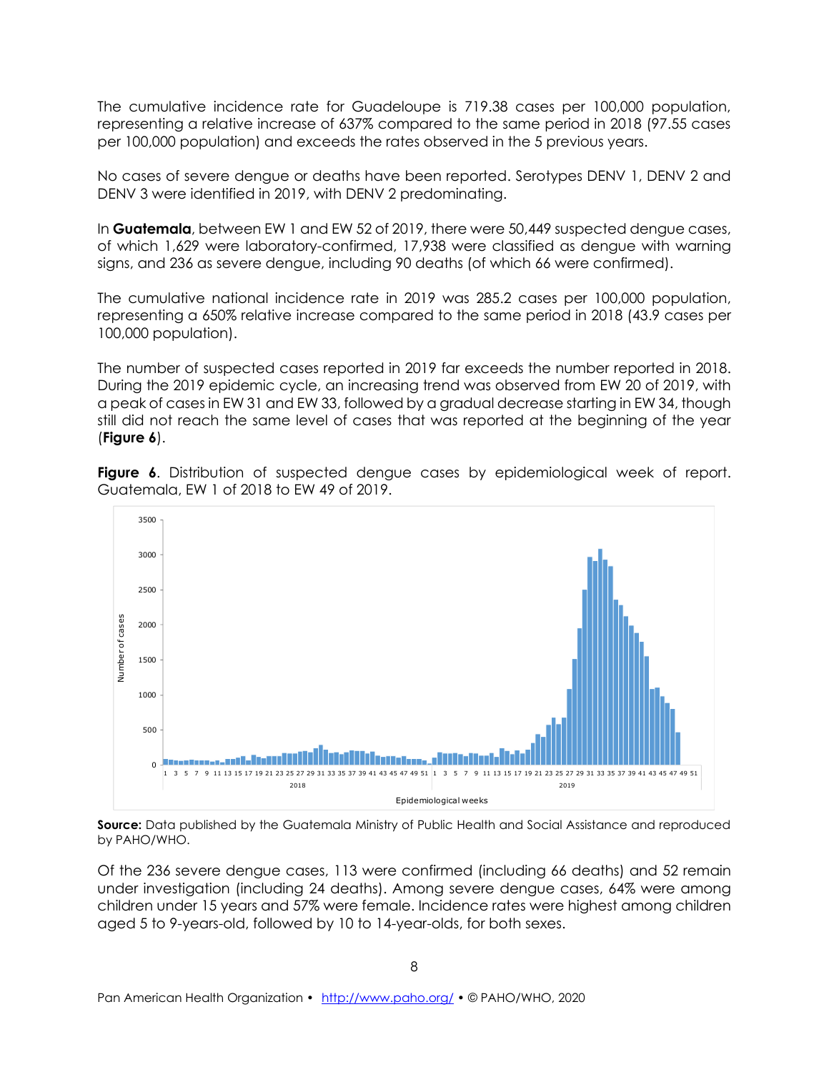The cumulative incidence rate for Guadeloupe is 719.38 cases per 100,000 population, representing a relative increase of 637% compared to the same period in 2018 (97.55 cases per 100,000 population) and exceeds the rates observed in the 5 previous years.

No cases of severe dengue or deaths have been reported. Serotypes DENV 1, DENV 2 and DENV 3 were identified in 2019, with DENV 2 predominating.

In **Guatemala**, between EW 1 and EW 52 of 2019, there were 50,449 suspected dengue cases, of which 1,629 were laboratory-confirmed, 17,938 were classified as dengue with warning signs, and 236 as severe dengue, including 90 deaths (of which 66 were confirmed).

The cumulative national incidence rate in 2019 was 285.2 cases per 100,000 population, representing a 650% relative increase compared to the same period in 2018 (43.9 cases per 100,000 population).

The number of suspected cases reported in 2019 far exceeds the number reported in 2018. During the 2019 epidemic cycle, an increasing trend was observed from EW 20 of 2019, with a peak of cases in EW 31 and EW 33, followed by a gradual decrease starting in EW 34, though still did not reach the same level of cases that was reported at the beginning of the year (**Figure 6**).



**Figure 6**. Distribution of suspected dengue cases by epidemiological week of report. Guatemala, EW 1 of 2018 to EW 49 of 2019.

**Source:** Data published by the Guatemala Ministry of Public Health and Social Assistance and reproduced by PAHO/WHO.

Of the 236 severe dengue cases, 113 were confirmed (including 66 deaths) and 52 remain under investigation (including 24 deaths). Among severe dengue cases, 64% were among children under 15 years and 57% were female. Incidence rates were highest among children aged 5 to 9-years-old, followed by 10 to 14-year-olds, for both sexes.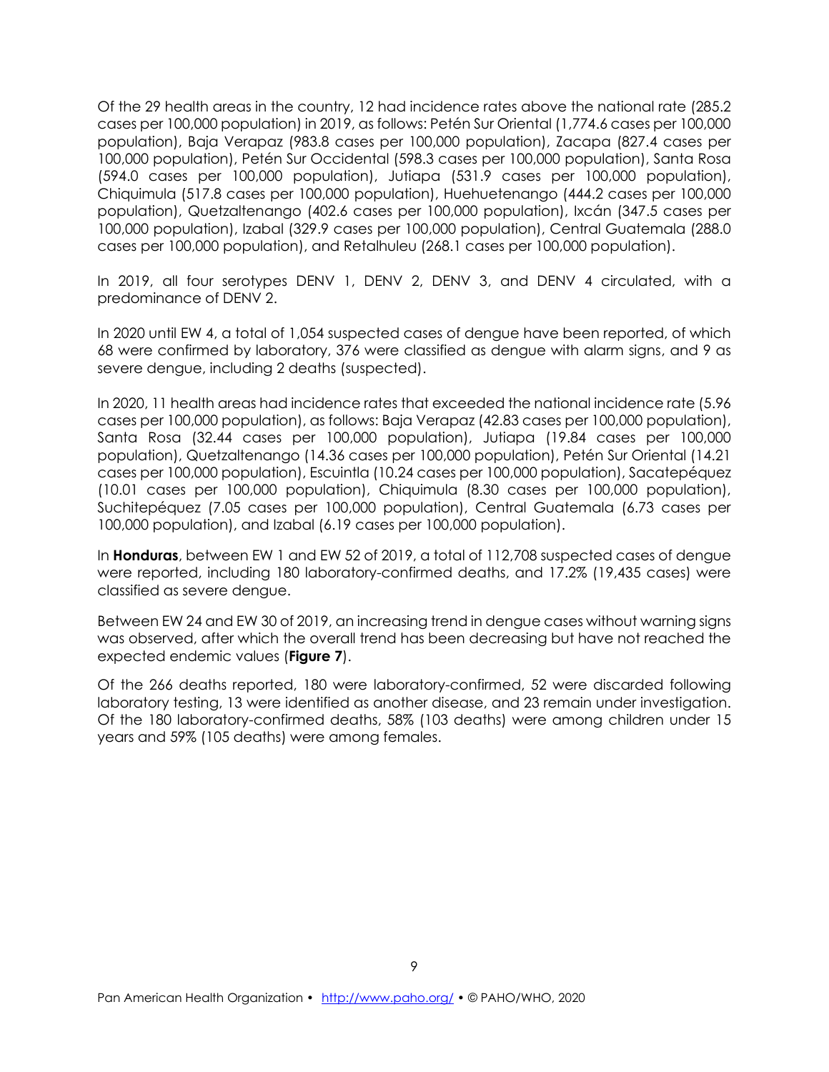Of the 29 health areas in the country, 12 had incidence rates above the national rate (285.2 cases per 100,000 population) in 2019, as follows: Petén Sur Oriental (1,774.6 cases per 100,000 population), Baja Verapaz (983.8 cases per 100,000 population), Zacapa (827.4 cases per 100,000 population), Petén Sur Occidental (598.3 cases per 100,000 population), Santa Rosa (594.0 cases per 100,000 population), Jutiapa (531.9 cases per 100,000 population), Chiquimula (517.8 cases per 100,000 population), Huehuetenango (444.2 cases per 100,000 population), Quetzaltenango (402.6 cases per 100,000 population), Ixcán (347.5 cases per 100,000 population), Izabal (329.9 cases per 100,000 population), Central Guatemala (288.0 cases per 100,000 population), and Retalhuleu (268.1 cases per 100,000 population).

In 2019, all four serotypes DENV 1, DENV 2, DENV 3, and DENV 4 circulated, with a predominance of DENV 2.

In 2020 until EW 4, a total of 1,054 suspected cases of dengue have been reported, of which 68 were confirmed by laboratory, 376 were classified as dengue with alarm signs, and 9 as severe dengue, including 2 deaths (suspected).

In 2020, 11 health areas had incidence rates that exceeded the national incidence rate (5.96 cases per 100,000 population), as follows: Baja Verapaz (42.83 cases per 100,000 population), Santa Rosa (32.44 cases per 100,000 population), Jutiapa (19.84 cases per 100,000 population), Quetzaltenango (14.36 cases per 100,000 population), Petén Sur Oriental (14.21 cases per 100,000 population), Escuintla (10.24 cases per 100,000 population), Sacatepéquez (10.01 cases per 100,000 population), Chiquimula (8.30 cases per 100,000 population), Suchitepéquez (7.05 cases per 100,000 population), Central Guatemala (6.73 cases per 100,000 population), and Izabal (6.19 cases per 100,000 population).

In **Honduras**, between EW 1 and EW 52 of 2019, a total of 112,708 suspected cases of dengue were reported, including 180 laboratory-confirmed deaths, and 17.2% (19,435 cases) were classified as severe dengue.

Between EW 24 and EW 30 of 2019, an increasing trend in dengue cases without warning signs was observed, after which the overall trend has been decreasing but have not reached the expected endemic values (**Figure 7**).

Of the 266 deaths reported, 180 were laboratory-confirmed, 52 were discarded following laboratory testing, 13 were identified as another disease, and 23 remain under investigation. Of the 180 laboratory-confirmed deaths, 58% (103 deaths) were among children under 15 years and 59% (105 deaths) were among females.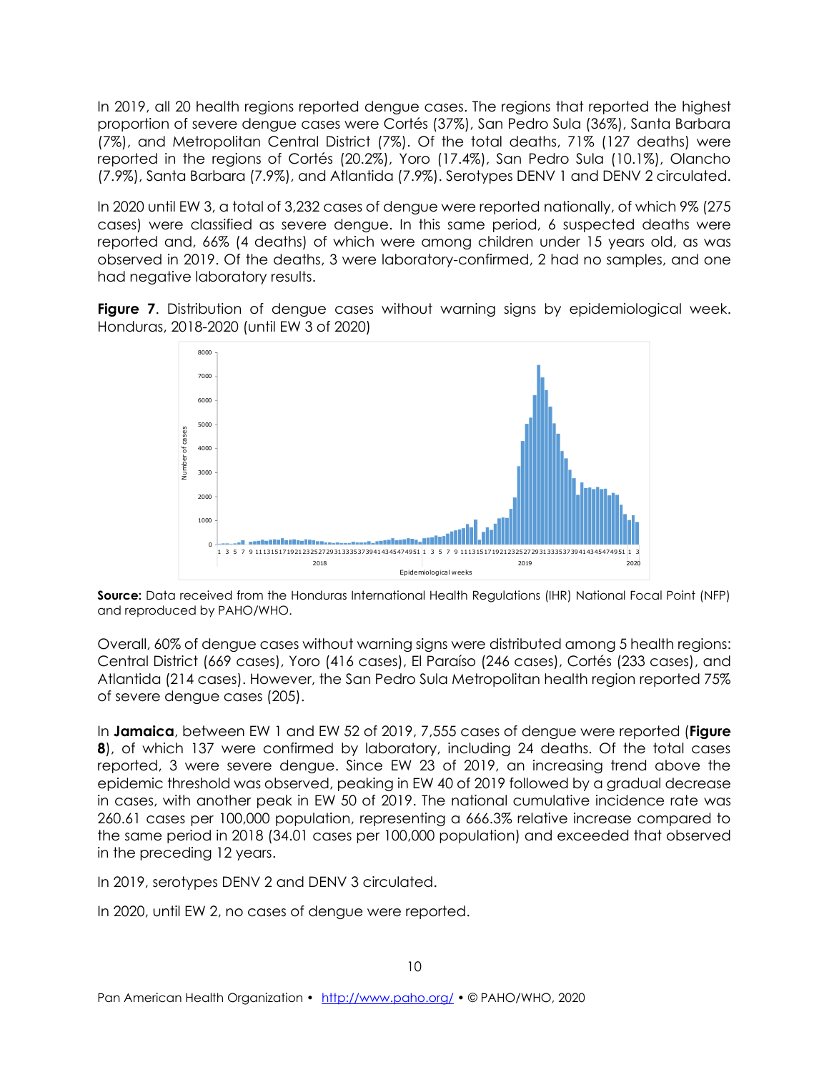In 2019, all 20 health regions reported dengue cases. The regions that reported the highest proportion of severe dengue cases were Cortés (37%), San Pedro Sula (36%), Santa Barbara (7%), and Metropolitan Central District (7%). Of the total deaths, 71% (127 deaths) were reported in the regions of Cortés (20.2%), Yoro (17.4%), San Pedro Sula (10.1%), Olancho (7.9%), Santa Barbara (7.9%), and Atlantida (7.9%). Serotypes DENV 1 and DENV 2 circulated.

In 2020 until EW 3, a total of 3,232 cases of dengue were reported nationally, of which 9% (275 cases) were classified as severe dengue. In this same period, 6 suspected deaths were reported and, 66% (4 deaths) of which were among children under 15 years old, as was observed in 2019. Of the deaths, 3 were laboratory-confirmed, 2 had no samples, and one had negative laboratory results.

**Figure 7.** Distribution of dengue cases without warning signs by epidemiological week. Honduras, 2018-2020 (until EW 3 of 2020)



**Source:** Data received from the Honduras International Health Regulations (IHR) National Focal Point (NFP) and reproduced by PAHO/WHO.

Overall, 60% of dengue cases without warning signs were distributed among 5 health regions: Central District (669 cases), Yoro (416 cases), El Paraíso (246 cases), Cortés (233 cases), and Atlantida (214 cases). However, the San Pedro Sula Metropolitan health region reported 75% of severe dengue cases (205).

In **Jamaica**, between EW 1 and EW 52 of 2019, 7,555 cases of dengue were reported (**Figure 8**), of which 137 were confirmed by laboratory, including 24 deaths. Of the total cases reported, 3 were severe dengue. Since EW 23 of 2019, an increasing trend above the epidemic threshold was observed, peaking in EW 40 of 2019 followed by a gradual decrease in cases, with another peak in EW 50 of 2019. The national cumulative incidence rate was 260.61 cases per 100,000 population, representing a 666.3% relative increase compared to the same period in 2018 (34.01 cases per 100,000 population) and exceeded that observed in the preceding 12 years.

In 2019, serotypes DENV 2 and DENV 3 circulated.

In 2020, until EW 2, no cases of dengue were reported.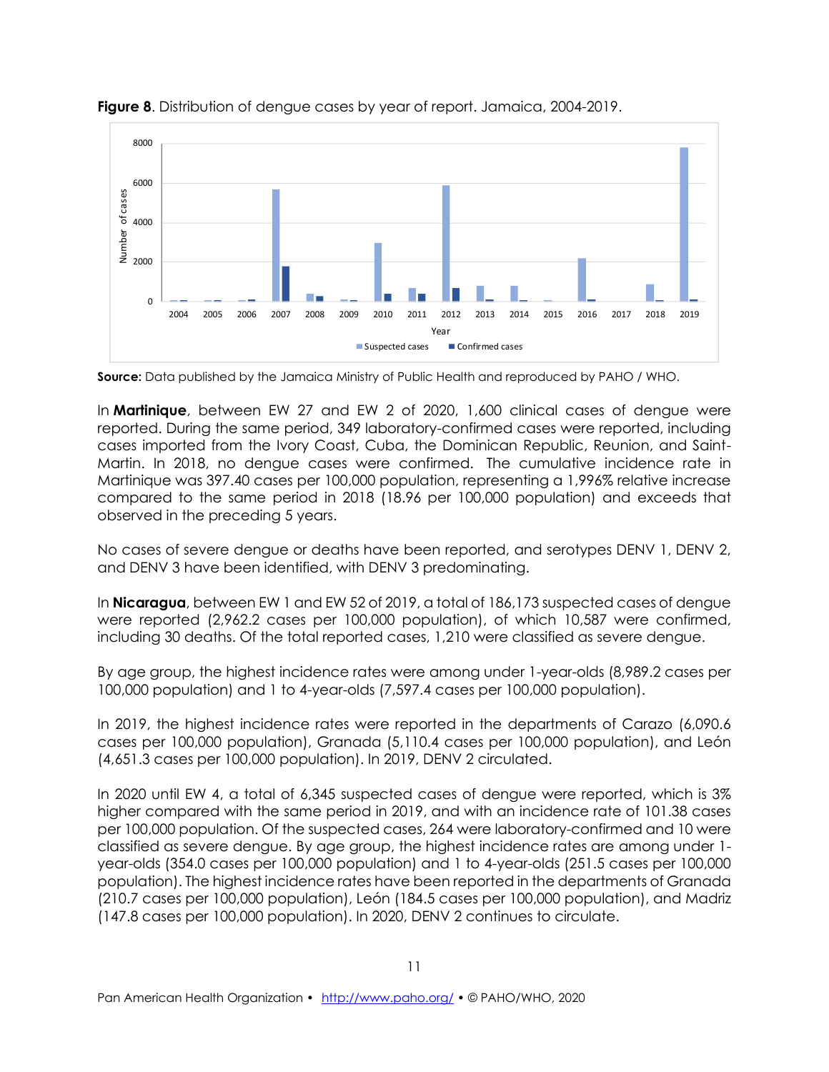

**Figure 8**. Distribution of dengue cases by year of report. Jamaica, 2004-2019.

**Source:** Data published by the Jamaica Ministry of Public Health and reproduced by PAHO / WHO.

In **Martinique**, between EW 27 and EW 2 of 2020, 1,600 clinical cases of dengue were reported. During the same period, 349 laboratory-confirmed cases were reported, including cases imported from the Ivory Coast, Cuba, the Dominican Republic, Reunion, and Saint-Martin. In 2018, no dengue cases were confirmed. The cumulative incidence rate in Martinique was 397.40 cases per 100,000 population, representing a 1,996% relative increase compared to the same period in 2018 (18.96 per 100,000 population) and exceeds that observed in the preceding 5 years.

No cases of severe dengue or deaths have been reported, and serotypes DENV 1, DENV 2, and DENV 3 have been identified, with DENV 3 predominating.

In **Nicaragua**, between EW 1 and EW 52 of 2019, a total of 186,173 suspected cases of dengue were reported (2,962.2 cases per 100,000 population), of which 10,587 were confirmed, including 30 deaths. Of the total reported cases, 1,210 were classified as severe dengue.

By age group, the highest incidence rates were among under 1-year-olds (8,989.2 cases per 100,000 population) and 1 to 4-year-olds (7,597.4 cases per 100,000 population).

In 2019, the highest incidence rates were reported in the departments of Carazo (6,090.6 cases per 100,000 population), Granada (5,110.4 cases per 100,000 population), and León (4,651.3 cases per 100,000 population). In 2019, DENV 2 circulated.

In 2020 until EW 4, a total of 6,345 suspected cases of dengue were reported, which is 3% higher compared with the same period in 2019, and with an incidence rate of 101.38 cases per 100,000 population. Of the suspected cases, 264 were laboratory-confirmed and 10 were classified as severe dengue. By age group, the highest incidence rates are among under 1 year-olds (354.0 cases per 100,000 population) and 1 to 4-year-olds (251.5 cases per 100,000 population). The highest incidence rates have been reported in the departments of Granada (210.7 cases per 100,000 population), León (184.5 cases per 100,000 population), and Madriz (147.8 cases per 100,000 population). In 2020, DENV 2 continues to circulate.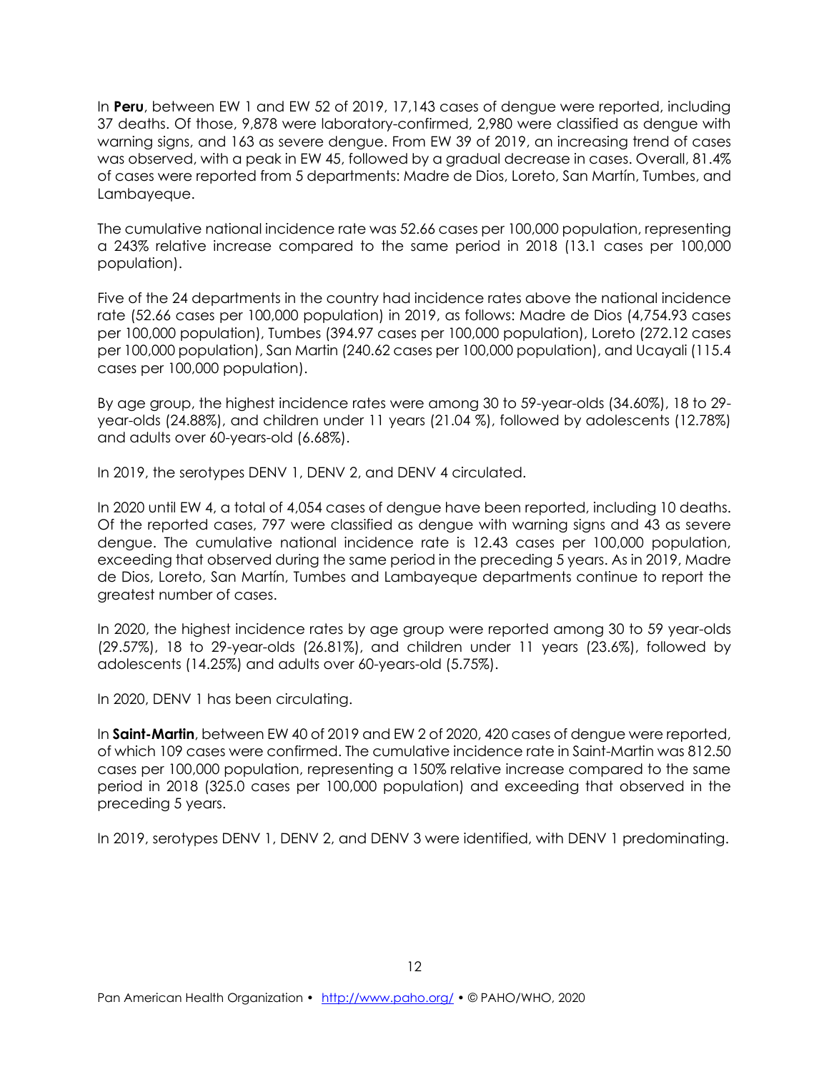In **Peru**, between EW 1 and EW 52 of 2019, 17,143 cases of dengue were reported, including 37 deaths. Of those, 9,878 were laboratory-confirmed, 2,980 were classified as dengue with warning signs, and 163 as severe dengue. From EW 39 of 2019, an increasing trend of cases was observed, with a peak in EW 45, followed by a gradual decrease in cases. Overall, 81.4% of cases were reported from 5 departments: Madre de Dios, Loreto, San Martín, Tumbes, and Lambayeque.

The cumulative national incidence rate was 52.66 cases per 100,000 population, representing a 243% relative increase compared to the same period in 2018 (13.1 cases per 100,000 population).

Five of the 24 departments in the country had incidence rates above the national incidence rate (52.66 cases per 100,000 population) in 2019, as follows: Madre de Dios (4,754.93 cases per 100,000 population), Tumbes (394.97 cases per 100,000 population), Loreto (272.12 cases per 100,000 population), San Martin (240.62 cases per 100,000 population), and Ucayali (115.4 cases per 100,000 population).

By age group, the highest incidence rates were among 30 to 59-year-olds (34.60%), 18 to 29 year-olds (24.88%), and children under 11 years (21.04 %), followed by adolescents (12.78%) and adults over 60-years-old (6.68%).

In 2019, the serotypes DENV 1, DENV 2, and DENV 4 circulated.

In 2020 until EW 4, a total of 4,054 cases of dengue have been reported, including 10 deaths. Of the reported cases, 797 were classified as dengue with warning signs and 43 as severe dengue. The cumulative national incidence rate is 12.43 cases per 100,000 population, exceeding that observed during the same period in the preceding 5 years. As in 2019, Madre de Dios, Loreto, San Martín, Tumbes and Lambayeque departments continue to report the greatest number of cases.

In 2020, the highest incidence rates by age group were reported among 30 to 59 year-olds (29.57%), 18 to 29-year-olds (26.81%), and children under 11 years (23.6%), followed by adolescents (14.25%) and adults over 60-years-old (5.75%).

In 2020, DENV 1 has been circulating.

In **Saint-Martin**, between EW 40 of 2019 and EW 2 of 2020, 420 cases of dengue were reported, of which 109 cases were confirmed. The cumulative incidence rate in Saint-Martin was 812.50 cases per 100,000 population, representing a 150% relative increase compared to the same period in 2018 (325.0 cases per 100,000 population) and exceeding that observed in the preceding 5 years.

In 2019, serotypes DENV 1, DENV 2, and DENV 3 were identified, with DENV 1 predominating.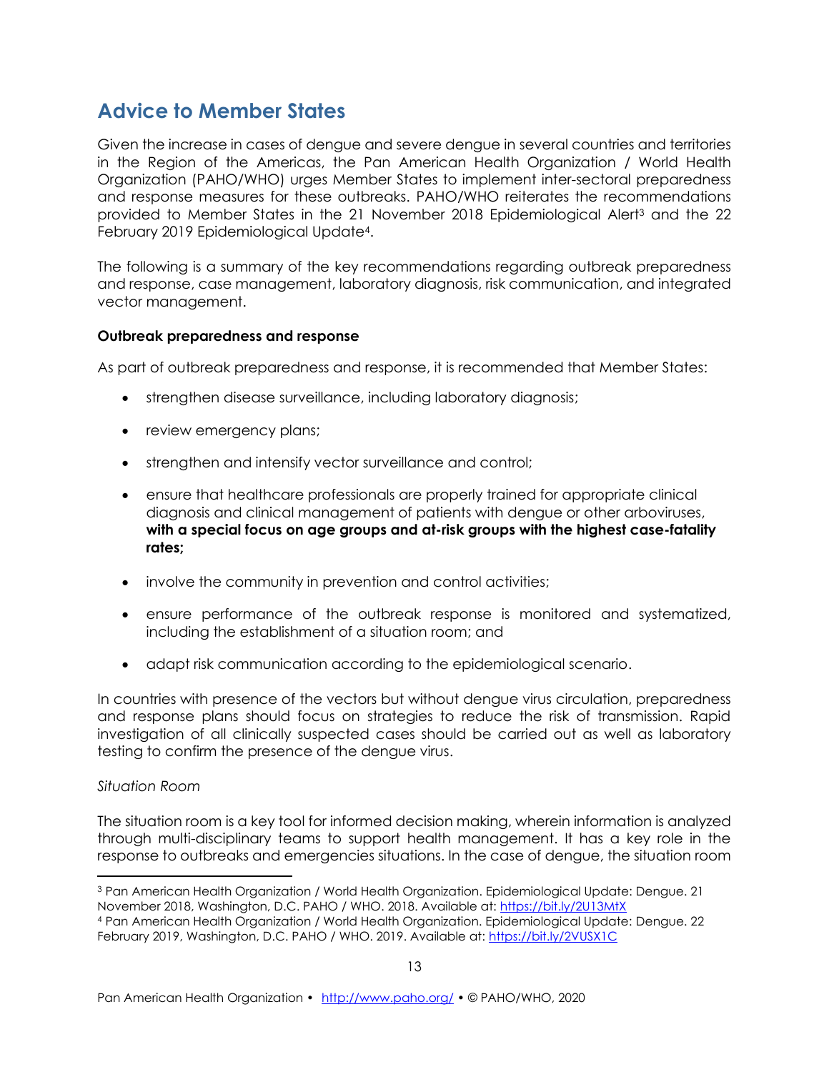# **Advice to Member States**

Given the increase in cases of dengue and severe dengue in several countries and territories in the Region of the Americas, the Pan American Health Organization / World Health Organization (PAHO/WHO) urges Member States to implement inter-sectoral preparedness and response measures for these outbreaks. PAHO/WHO reiterates the recommendations provided to Member States in the 21 November 2018 Epidemiological Alert<sup>3</sup> and the 22 February 2019 Epidemiological Update4.

The following is a summary of the key recommendations regarding outbreak preparedness and response, case management, laboratory diagnosis, risk communication, and integrated vector management.

#### **Outbreak preparedness and response**

As part of outbreak preparedness and response, it is recommended that Member States:

- strengthen disease surveillance, including laboratory diagnosis;
- review emergency plans;
- strengthen and intensify vector surveillance and control;
- ensure that healthcare professionals are properly trained for appropriate clinical diagnosis and clinical management of patients with dengue or other arboviruses, **with a special focus on age groups and at-risk groups with the highest case-fatality rates;**
- involve the community in prevention and control activities;
- ensure performance of the outbreak response is monitored and systematized, including the establishment of a situation room; and
- adapt risk communication according to the epidemiological scenario.

In countries with presence of the vectors but without dengue virus circulation, preparedness and response plans should focus on strategies to reduce the risk of transmission. Rapid investigation of all clinically suspected cases should be carried out as well as laboratory testing to confirm the presence of the dengue virus.

#### *Situation Room*

The situation room is a key tool for informed decision making, wherein information is analyzed through multi-disciplinary teams to support health management. It has a key role in the response to outbreaks and emergencies situations. In the case of dengue, the situation room

<sup>3</sup> Pan American Health Organization / World Health Organization. Epidemiological Update: Dengue. 21 November 2018, Washington, D.C. PAHO / WHO. 2018. Available at:<https://bit.ly/2U13MtX>

<sup>4</sup> Pan American Health Organization / World Health Organization. Epidemiological Update: Dengue. 22 February 2019, Washington, D.C. PAHO / WHO. 2019. Available at: https://bit.ly/2VUSX1C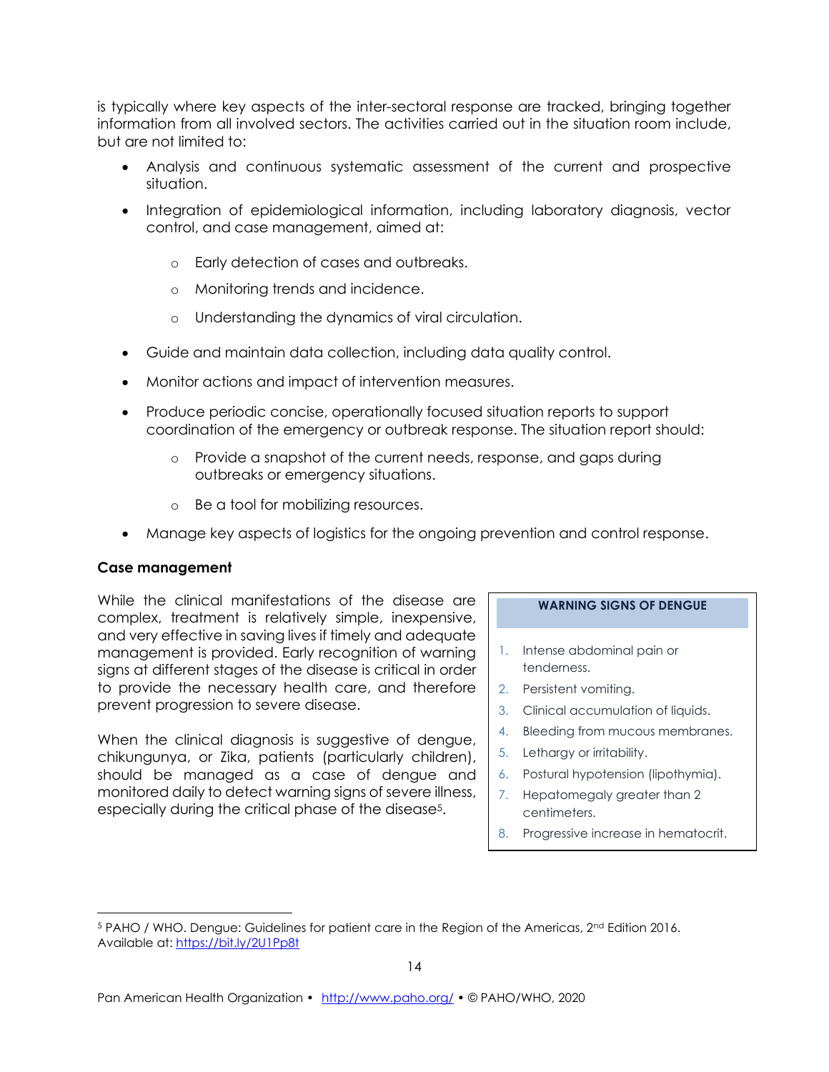is typically where key aspects of the inter-sectoral response are tracked, bringing together information from all involved sectors. The activities carried out in the situation room include, but are not limited to:

- Analysis and continuous systematic assessment of the current and prospective situation.
- Integration of epidemiological information, including laboratory diagnosis, vector control, and case management, aimed at:
	- o Early detection of cases and outbreaks.
	- o Monitoring trends and incidence.
	- o Understanding the dynamics of viral circulation.
- Guide and maintain data collection, including data quality control.
- Monitor actions and impact of intervention measures.
- Produce periodic concise, operationally focused situation reports to support coordination of the emergency or outbreak response. The situation report should:
	- o Provide a snapshot of the current needs, response, and gaps during outbreaks or emergency situations.
	- o Be a tool for mobilizing resources.
- Manage key aspects of logistics for the ongoing prevention and control response.

#### **Case management**

While the clinical manifestations of the disease are complex, treatment is relatively simple, inexpensive, and very effective in saving lives if timely and adequate management is provided. Early recognition of warning signs at different stages of the disease is critical in order to provide the necessary health care, and therefore prevent progression to severe disease.

When the clinical diagnosis is suggestive of dengue, chikungunya, or Zika, patients (particularly children), should be managed as a case of dengue and monitored daily to detect warning signs of severe illness, especially during the critical phase of the disease5.

#### **WARNING SIGNS OF DENGUE**

- 1. Intense abdominal pain or tenderness.
- 2. Persistent vomiting.
- 3. Clinical accumulation of liquids.
- 4. Bleeding from mucous membranes.
- 5. Lethargy or irritability.
- 6. Postural hypotension (lipothymia).
- 7. Hepatomegaly greater than 2 centimeters.
- 8. Progressive increase in hematocrit.

 $5$  PAHO / WHO. Dengue: Guidelines for patient care in the Region of the Americas,  $2^{nd}$  Edition 2016. Available at: <https://bit.ly/2U1Pp8t>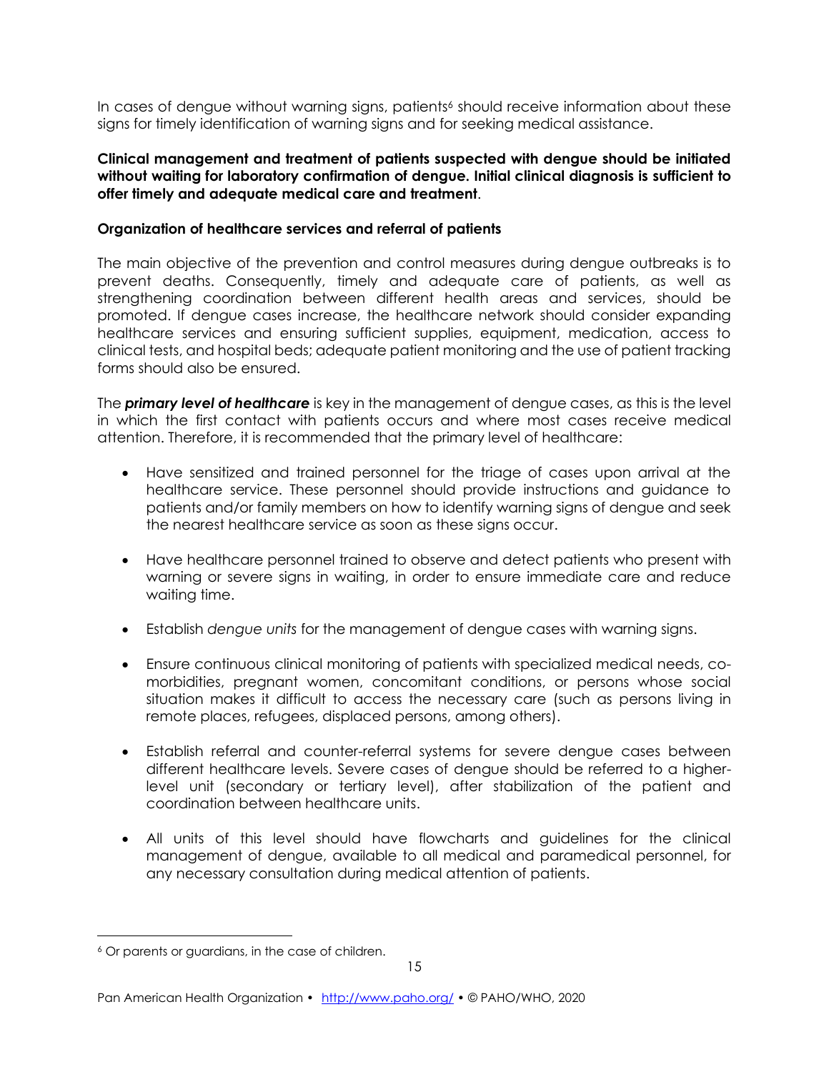In cases of dengue without warning signs, patients<sup>6</sup> should receive information about these signs for timely identification of warning signs and for seeking medical assistance.

#### **Clinical management and treatment of patients suspected with dengue should be initiated without waiting for laboratory confirmation of dengue. Initial clinical diagnosis is sufficient to offer timely and adequate medical care and treatment**.

#### **Organization of healthcare services and referral of patients**

The main objective of the prevention and control measures during dengue outbreaks is to prevent deaths. Consequently, timely and adequate care of patients, as well as strengthening coordination between different health areas and services, should be promoted. If dengue cases increase, the healthcare network should consider expanding healthcare services and ensuring sufficient supplies, equipment, medication, access to clinical tests, and hospital beds; adequate patient monitoring and the use of patient tracking forms should also be ensured.

The *primary level of healthcare* is key in the management of dengue cases, as this is the level in which the first contact with patients occurs and where most cases receive medical attention. Therefore, it is recommended that the primary level of healthcare:

- Have sensitized and trained personnel for the triage of cases upon arrival at the healthcare service. These personnel should provide instructions and guidance to patients and/or family members on how to identify warning signs of dengue and seek the nearest healthcare service as soon as these signs occur.
- Have healthcare personnel trained to observe and detect patients who present with warning or severe signs in waiting, in order to ensure immediate care and reduce waiting time.
- Establish *dengue units* for the management of dengue cases with warning signs.
- Ensure continuous clinical monitoring of patients with specialized medical needs, comorbidities, pregnant women, concomitant conditions, or persons whose social situation makes it difficult to access the necessary care (such as persons living in remote places, refugees, displaced persons, among others).
- Establish referral and counter-referral systems for severe dengue cases between different healthcare levels. Severe cases of dengue should be referred to a higherlevel unit (secondary or tertiary level), after stabilization of the patient and coordination between healthcare units.
- All units of this level should have flowcharts and guidelines for the clinical management of dengue, available to all medical and paramedical personnel, for any necessary consultation during medical attention of patients.

<sup>6</sup> Or parents or guardians, in the case of children.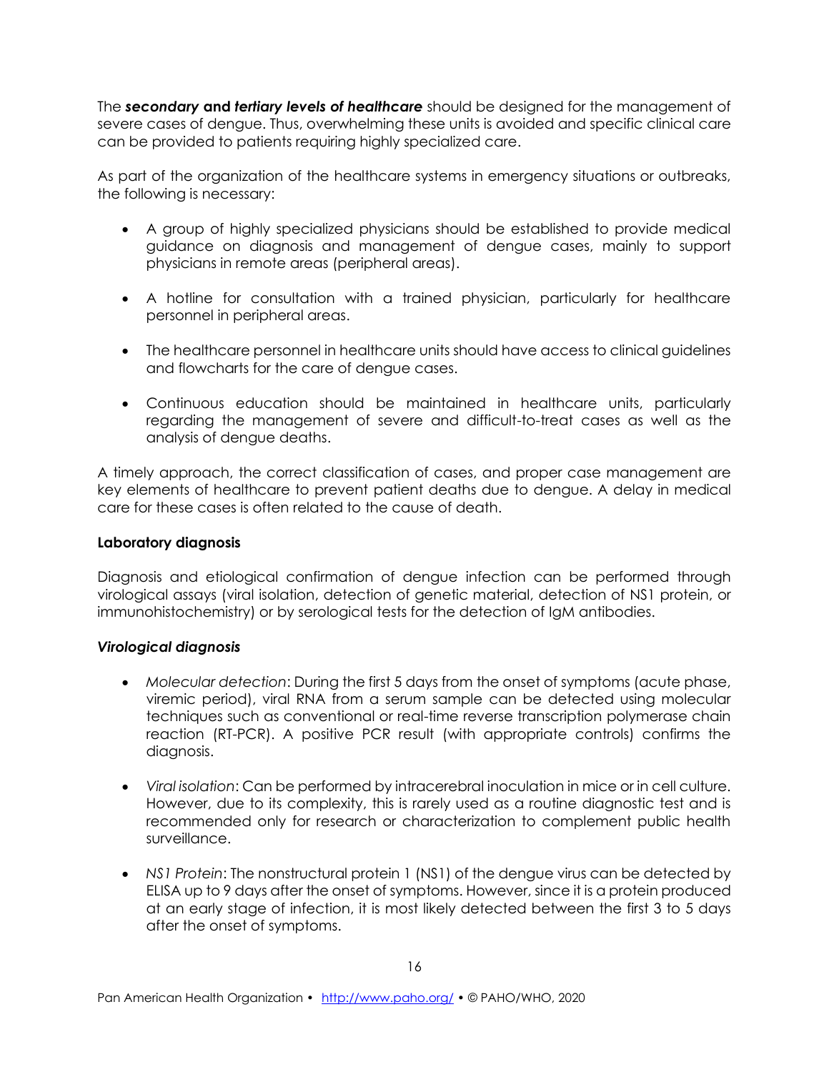The *secondary* **and** *tertiary levels of healthcare* should be designed for the management of severe cases of dengue. Thus, overwhelming these units is avoided and specific clinical care can be provided to patients requiring highly specialized care.

As part of the organization of the healthcare systems in emergency situations or outbreaks, the following is necessary:

- A group of highly specialized physicians should be established to provide medical guidance on diagnosis and management of dengue cases, mainly to support physicians in remote areas (peripheral areas).
- A hotline for consultation with a trained physician, particularly for healthcare personnel in peripheral areas.
- The healthcare personnel in healthcare units should have access to clinical guidelines and flowcharts for the care of dengue cases.
- Continuous education should be maintained in healthcare units, particularly regarding the management of severe and difficult-to-treat cases as well as the analysis of dengue deaths.

A timely approach, the correct classification of cases, and proper case management are key elements of healthcare to prevent patient deaths due to dengue. A delay in medical care for these cases is often related to the cause of death.

#### **Laboratory diagnosis**

Diagnosis and etiological confirmation of dengue infection can be performed through virological assays (viral isolation, detection of genetic material, detection of NS1 protein, or immunohistochemistry) or by serological tests for the detection of IgM antibodies.

#### *Virological diagnosis*

- *Molecular detection*: During the first 5 days from the onset of symptoms (acute phase, viremic period), viral RNA from a serum sample can be detected using molecular techniques such as conventional or real-time reverse transcription polymerase chain reaction (RT-PCR). A positive PCR result (with appropriate controls) confirms the diagnosis.
- *Viral isolation*: Can be performed by intracerebral inoculation in mice or in cell culture. However, due to its complexity, this is rarely used as a routine diagnostic test and is recommended only for research or characterization to complement public health surveillance.
- *NS1 Protein*: The nonstructural protein 1 (NS1) of the dengue virus can be detected by ELISA up to 9 days after the onset of symptoms. However, since it is a protein produced at an early stage of infection, it is most likely detected between the first 3 to 5 days after the onset of symptoms.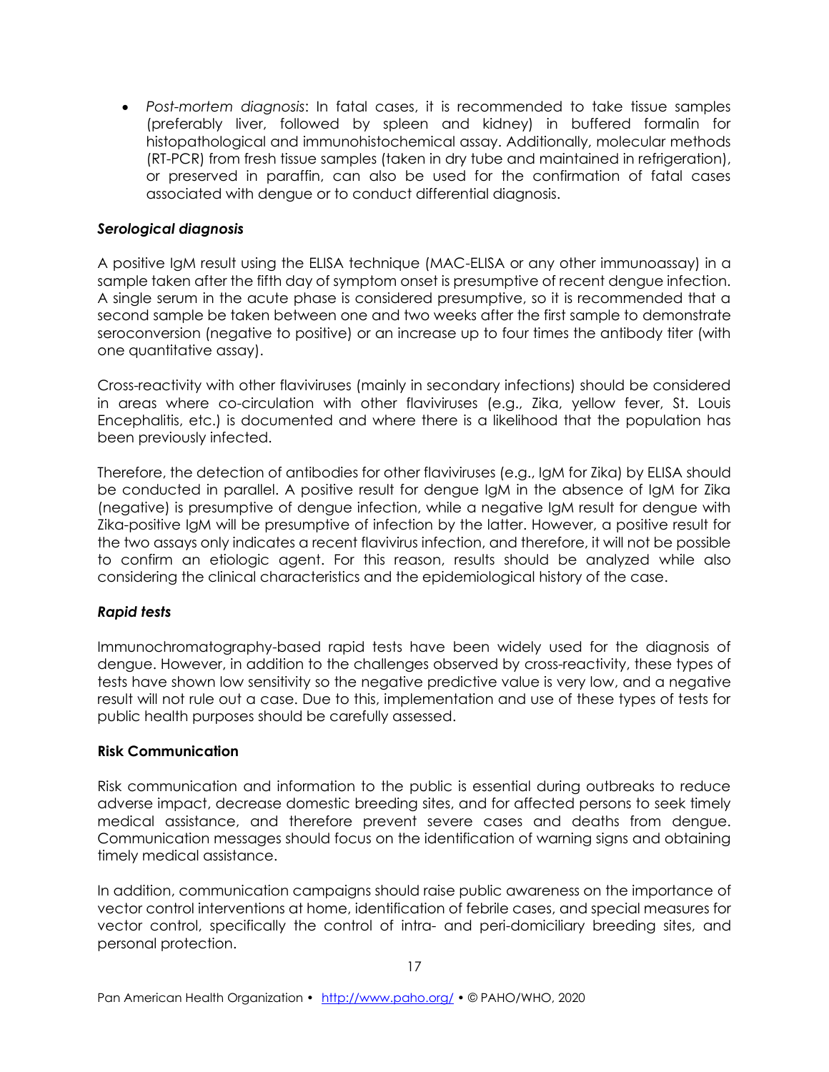• *Post-mortem diagnosis*: In fatal cases, it is recommended to take tissue samples (preferably liver, followed by spleen and kidney) in buffered formalin for histopathological and immunohistochemical assay. Additionally, molecular methods (RT-PCR) from fresh tissue samples (taken in dry tube and maintained in refrigeration), or preserved in paraffin, can also be used for the confirmation of fatal cases associated with dengue or to conduct differential diagnosis.

#### *Serological diagnosis*

A positive IgM result using the ELISA technique (MAC-ELISA or any other immunoassay) in a sample taken after the fifth day of symptom onset is presumptive of recent dengue infection. A single serum in the acute phase is considered presumptive, so it is recommended that a second sample be taken between one and two weeks after the first sample to demonstrate seroconversion (negative to positive) or an increase up to four times the antibody titer (with one quantitative assay).

Cross-reactivity with other flaviviruses (mainly in secondary infections) should be considered in areas where co-circulation with other flaviviruses (e.g., Zika, yellow fever, St. Louis Encephalitis, etc.) is documented and where there is a likelihood that the population has been previously infected.

Therefore, the detection of antibodies for other flaviviruses (e.g., IgM for Zika) by ELISA should be conducted in parallel. A positive result for dengue IgM in the absence of IgM for Zika (negative) is presumptive of dengue infection, while a negative IgM result for dengue with Zika-positive IgM will be presumptive of infection by the latter. However, a positive result for the two assays only indicates a recent flavivirus infection, and therefore, it will not be possible to confirm an etiologic agent. For this reason, results should be analyzed while also considering the clinical characteristics and the epidemiological history of the case.

#### *Rapid tests*

Immunochromatography-based rapid tests have been widely used for the diagnosis of dengue. However, in addition to the challenges observed by cross-reactivity, these types of tests have shown low sensitivity so the negative predictive value is very low, and a negative result will not rule out a case. Due to this, implementation and use of these types of tests for public health purposes should be carefully assessed.

#### **Risk Communication**

Risk communication and information to the public is essential during outbreaks to reduce adverse impact, decrease domestic breeding sites, and for affected persons to seek timely medical assistance, and therefore prevent severe cases and deaths from dengue. Communication messages should focus on the identification of warning signs and obtaining timely medical assistance.

In addition, communication campaigns should raise public awareness on the importance of vector control interventions at home, identification of febrile cases, and special measures for vector control, specifically the control of intra- and peri-domiciliary breeding sites, and personal protection.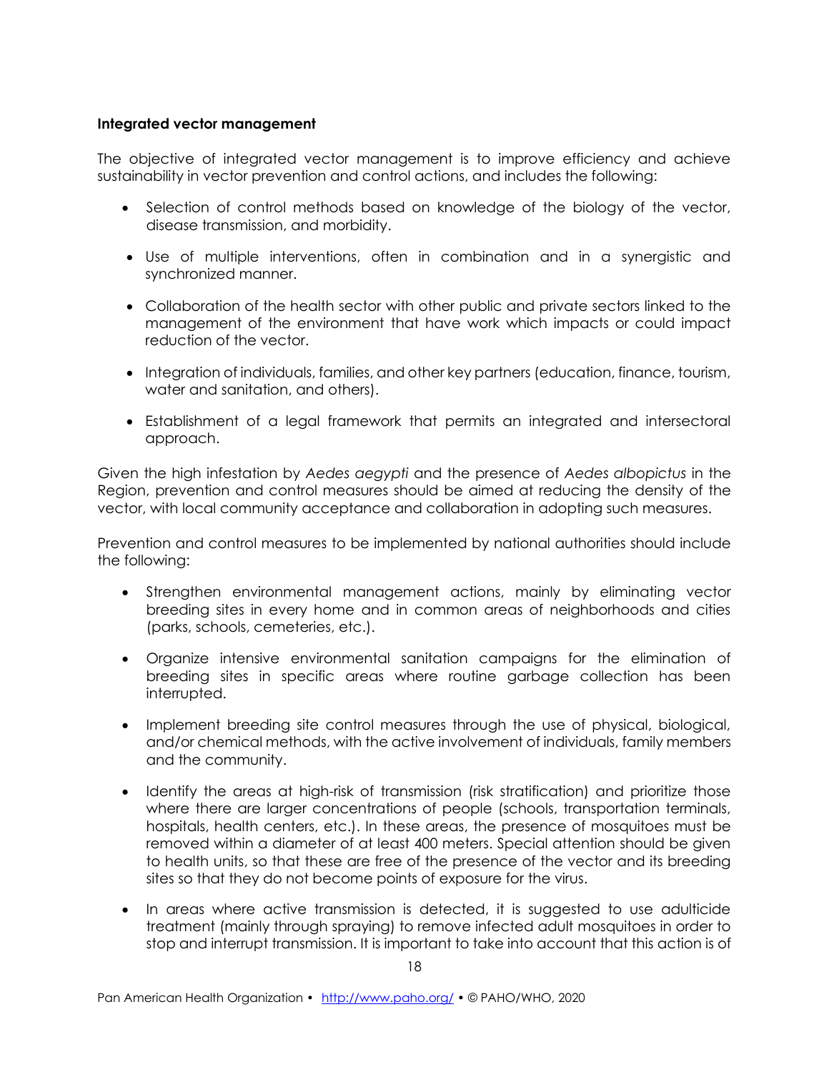#### **Integrated vector management**

The objective of integrated vector management is to improve efficiency and achieve sustainability in vector prevention and control actions, and includes the following:

- Selection of control methods based on knowledge of the biology of the vector, disease transmission, and morbidity.
- Use of multiple interventions, often in combination and in a synergistic and synchronized manner.
- Collaboration of the health sector with other public and private sectors linked to the management of the environment that have work which impacts or could impact reduction of the vector.
- Integration of individuals, families, and other key partners (education, finance, tourism, water and sanitation, and others).
- Establishment of a legal framework that permits an integrated and intersectoral approach.

Given the high infestation by *Aedes aegypti* and the presence of *Aedes albopictus* in the Region, prevention and control measures should be aimed at reducing the density of the vector, with local community acceptance and collaboration in adopting such measures.

Prevention and control measures to be implemented by national authorities should include the following:

- Strengthen environmental management actions, mainly by eliminating vector breeding sites in every home and in common areas of neighborhoods and cities (parks, schools, cemeteries, etc.).
- Organize intensive environmental sanitation campaigns for the elimination of breeding sites in specific areas where routine garbage collection has been interrupted.
- Implement breeding site control measures through the use of physical, biological, and/or chemical methods, with the active involvement of individuals, family members and the community.
- Identify the areas at high-risk of transmission (risk stratification) and prioritize those where there are larger concentrations of people (schools, transportation terminals, hospitals, health centers, etc.). In these areas, the presence of mosquitoes must be removed within a diameter of at least 400 meters. Special attention should be given to health units, so that these are free of the presence of the vector and its breeding sites so that they do not become points of exposure for the virus.
- In areas where active transmission is detected, it is suggested to use adulticide treatment (mainly through spraying) to remove infected adult mosquitoes in order to stop and interrupt transmission. It is important to take into account that this action is of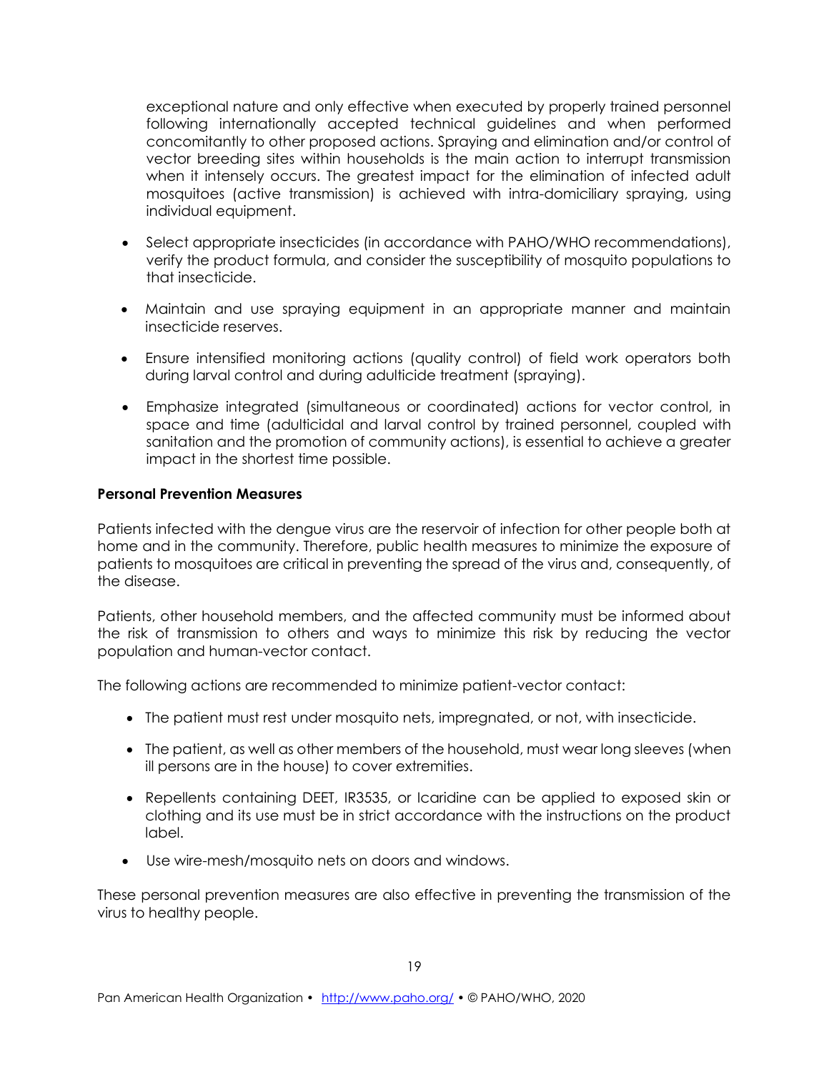exceptional nature and only effective when executed by properly trained personnel following internationally accepted technical guidelines and when performed concomitantly to other proposed actions. Spraying and elimination and/or control of vector breeding sites within households is the main action to interrupt transmission when it intensely occurs. The greatest impact for the elimination of infected adult mosquitoes (active transmission) is achieved with intra-domiciliary spraying, using individual equipment.

- Select appropriate insecticides (in accordance with PAHO/WHO recommendations), verify the product formula, and consider the susceptibility of mosquito populations to that insecticide.
- Maintain and use spraying equipment in an appropriate manner and maintain insecticide reserves.
- Ensure intensified monitoring actions (quality control) of field work operators both during larval control and during adulticide treatment (spraying).
- Emphasize integrated (simultaneous or coordinated) actions for vector control, in space and time (adulticidal and larval control by trained personnel, coupled with sanitation and the promotion of community actions), is essential to achieve a greater impact in the shortest time possible.

#### **Personal Prevention Measures**

Patients infected with the dengue virus are the reservoir of infection for other people both at home and in the community. Therefore, public health measures to minimize the exposure of patients to mosquitoes are critical in preventing the spread of the virus and, consequently, of the disease.

Patients, other household members, and the affected community must be informed about the risk of transmission to others and ways to minimize this risk by reducing the vector population and human-vector contact.

The following actions are recommended to minimize patient-vector contact:

- The patient must rest under mosquito nets, impregnated, or not, with insecticide.
- The patient, as well as other members of the household, must wear long sleeves (when ill persons are in the house) to cover extremities.
- Repellents containing DEET, IR3535, or Icaridine can be applied to exposed skin or clothing and its use must be in strict accordance with the instructions on the product label.
- Use wire-mesh/mosquito nets on doors and windows.

These personal prevention measures are also effective in preventing the transmission of the virus to healthy people.